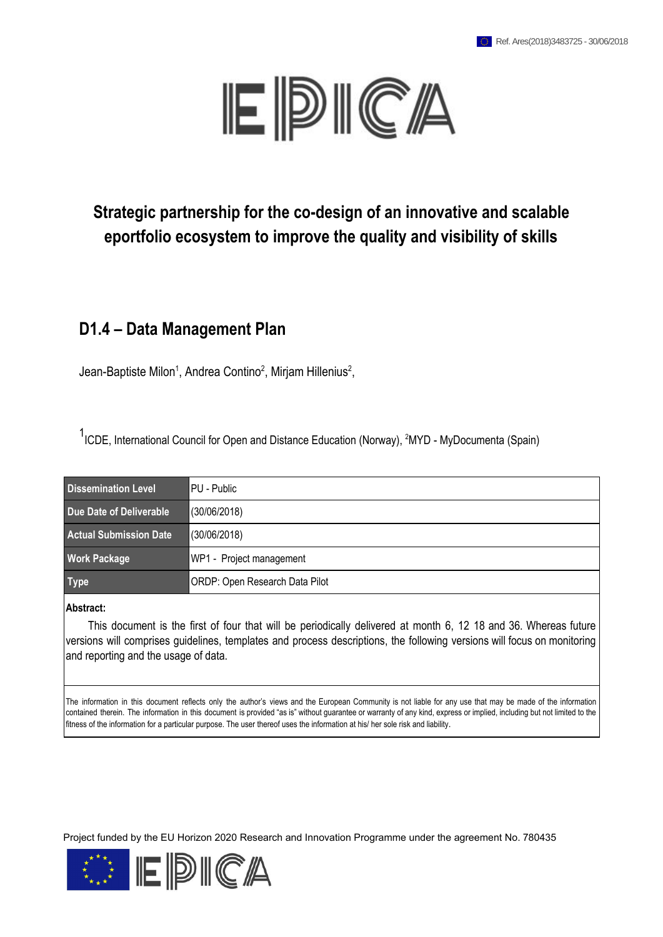

## **Strategic partnership for the co-design of an innovative and scalable eportfolio ecosystem to improve the quality and visibility of skills**

#### **D1.4 – Data Management Plan**

Jean-Baptiste Milon<sup>1</sup>, Andrea Contino<sup>2</sup>, Mirjam Hillenius<sup>2</sup>,

<sup>1</sup>ICDE, International Council for Open and Distance Education (Norway), <sup>2</sup>MYD - MyDocumenta (Spain)

| Dissemination Level           | <b>IPU - Public</b>                   |
|-------------------------------|---------------------------------------|
| Due Date of Deliverable       | (30/06/2018)                          |
| <b>Actual Submission Date</b> | (30/06/2018)                          |
| <b>Work Package</b>           | WP1 - Project management              |
| <b>Type</b>                   | <b>ORDP: Open Research Data Pilot</b> |

**Abstract:**

This document is the first of four that will be periodically delivered at month 6, 12 18 and 36. Whereas future versions will comprises guidelines, templates and process descriptions, the following versions will focus on monitoring and reporting and the usage of data.

The information in this document reflects only the author's views and the European Community is not liable for any use that may be made of the information contained therein. The information in this document is provided "as is" without guarantee or warranty of any kind, express or implied, including but not limited to the fitness of the information for a particular purpose. The user thereof uses the information at his/ her sole risk and liability.

Project funded by the EU Horizon 2020 Research and Innovation Programme under the agreement No. 780435

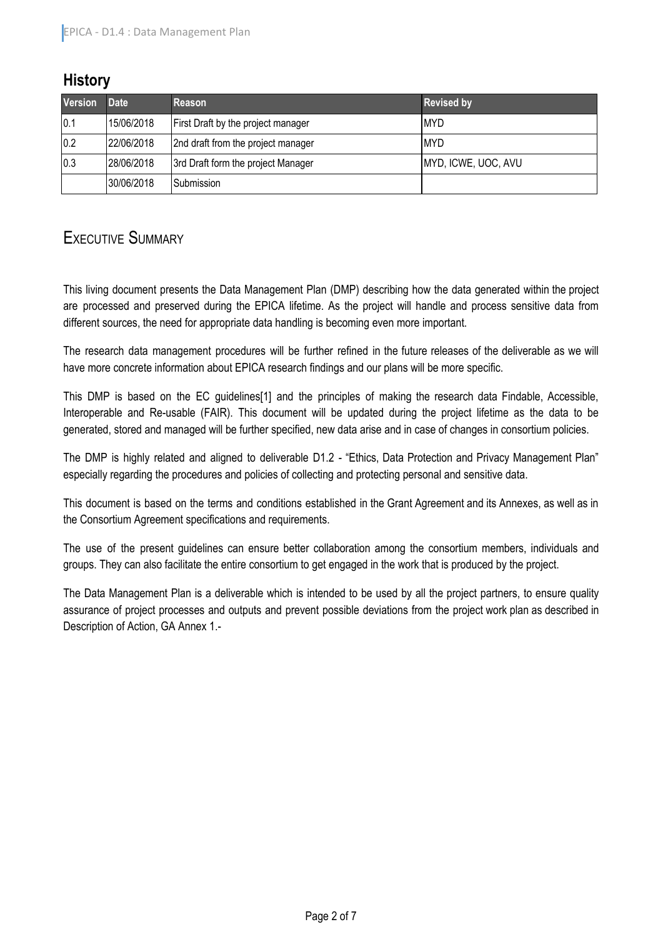## **History**

| <b>Version</b> | <b>Date</b> | Reason                             | <b>Revised by</b>   |
|----------------|-------------|------------------------------------|---------------------|
| 0.1            | 15/06/2018  | First Draft by the project manager | <b>MYD</b>          |
| 0.2            | 22/06/2018  | 2nd draft from the project manager | <b>MYD</b>          |
| 0.3            | 28/06/2018  | 3rd Draft form the project Manager | MYD, ICWE, UOC, AVU |
|                | 30/06/2018  | Submission                         |                     |

## <span id="page-1-0"></span>EXECUTIVE SUMMARY

This living document presents the Data Management Plan (DMP) describing how the data generated within the project are processed and preserved during the EPICA lifetime. As the project will handle and process sensitive data from different sources, the need for appropriate data handling is becoming even more important.

The research data management procedures will be further refined in the future releases of the deliverable as we will have more concrete information about EPICA research findings and our plans will be more specific.

This DMP is based on the EC quidelines<sup>[1]</sup> and the principles of making the research data Findable, Accessible, Interoperable and Re-usable (FAIR). This document will be updated during the project lifetime as the data to be generated, stored and managed will be further specified, new data arise and in case of changes in consortium policies.

The DMP is highly related and aligned to deliverable D1.2 - "Ethics, Data Protection and Privacy Management Plan" especially regarding the procedures and policies of collecting and protecting personal and sensitive data.

This document is based on the terms and conditions established in the Grant Agreement and its Annexes, as well as in the Consortium Agreement specifications and requirements.

The use of the present guidelines can ensure better collaboration among the consortium members, individuals and groups. They can also facilitate the entire consortium to get engaged in the work that is produced by the project.

The Data Management Plan is a deliverable which is intended to be used by all the project partners, to ensure quality assurance of project processes and outputs and prevent possible deviations from the project work plan as described in Description of Action, GA Annex 1.-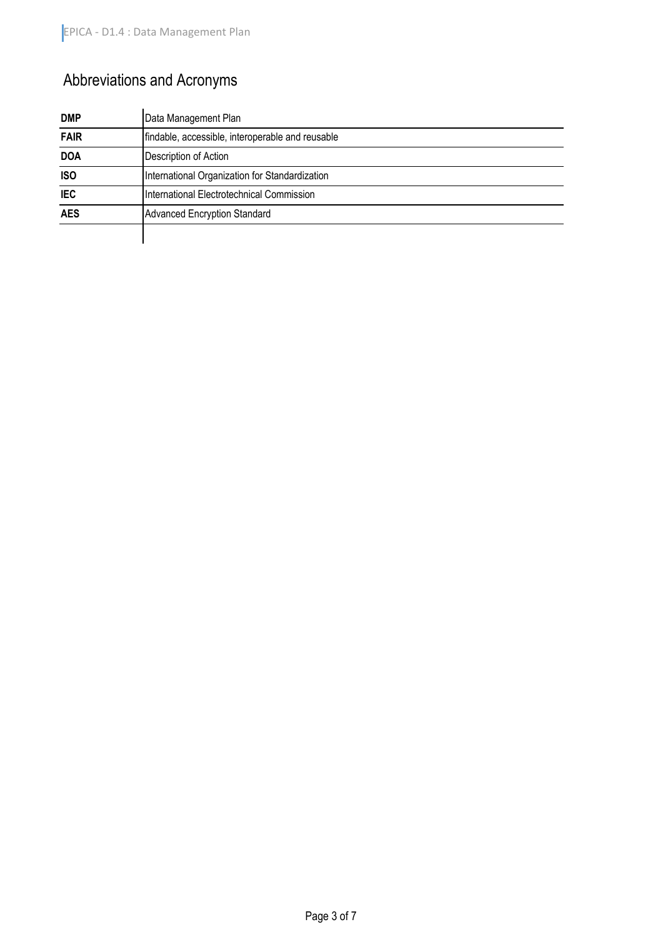# Abbreviations and Acronyms

| <b>DMP</b>  | Data Management Plan                             |
|-------------|--------------------------------------------------|
| <b>FAIR</b> | findable, accessible, interoperable and reusable |
| <b>DOA</b>  | Description of Action                            |
| <b>ISO</b>  | International Organization for Standardization   |
| <b>IEC</b>  | International Electrotechnical Commission        |
| <b>AES</b>  | <b>Advanced Encryption Standard</b>              |
|             |                                                  |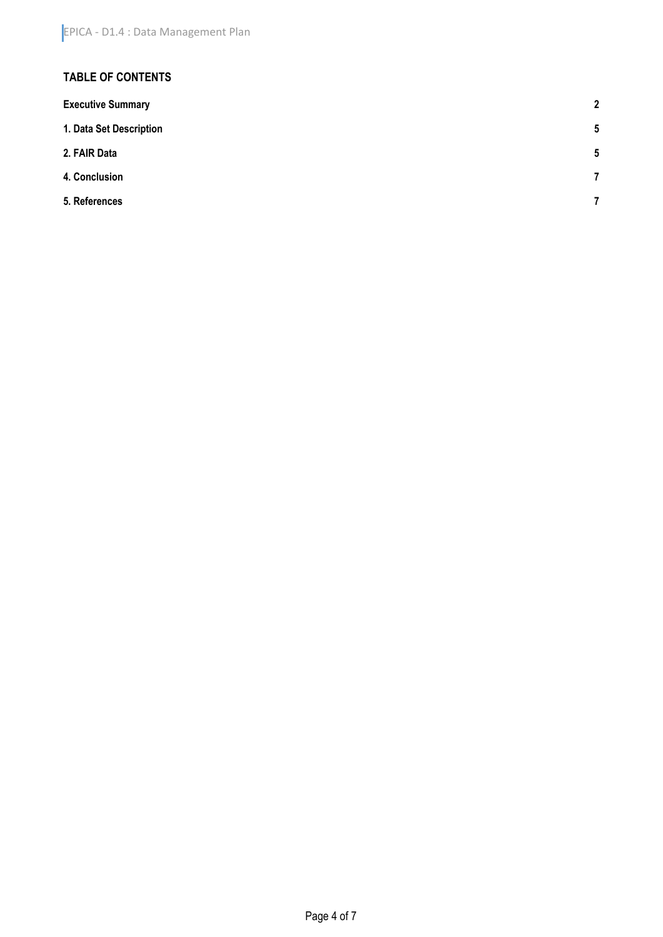#### **TABLE OF CONTENTS**

| $\mathbf{2}$             |
|--------------------------|
| $5\phantom{.0}$          |
| $5\phantom{.0}$          |
| $\overline{7}$           |
| $\overline{\phantom{a}}$ |
|                          |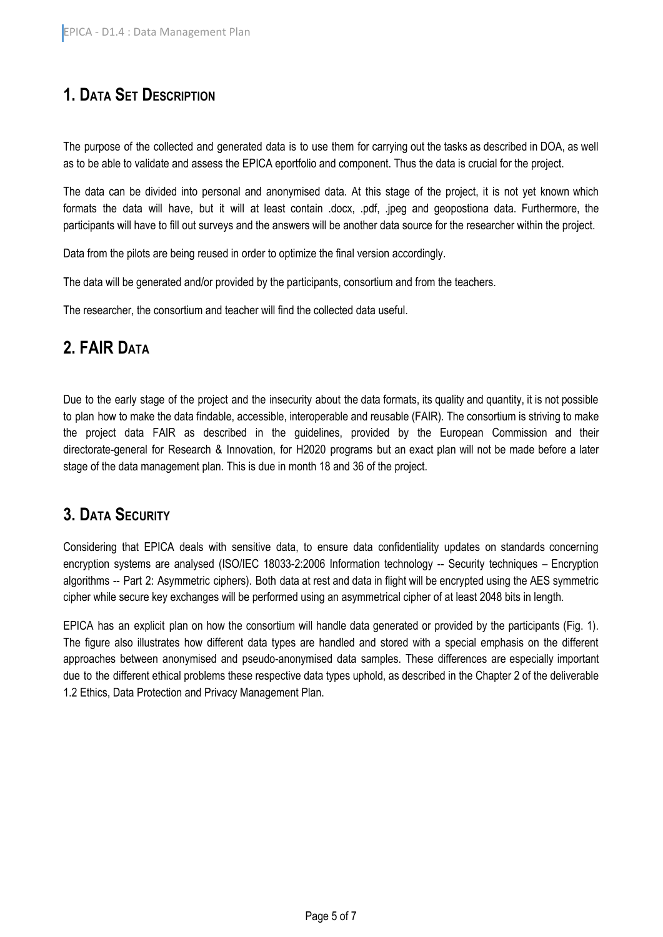## <span id="page-4-0"></span>**1. DATA SET DESCRIPTION**

The purpose of the collected and generated data is to use them for carrying out the tasks as described in DOA, as well as to be able to validate and assess the EPICA eportfolio and component. Thus the data is crucial for the project.

The data can be divided into personal and anonymised data. At this stage of the project, it is not yet known which formats the data will have, but it will at least contain .docx, .pdf, .jpeg and geopostiona data. Furthermore, the participants will have to fill out surveys and the answers will be another data source for the researcher within the project.

Data from the pilots are being reused in order to optimize the final version accordingly.

The data will be generated and/or provided by the participants, consortium and from the teachers.

The researcher, the consortium and teacher will find the collected data useful.

## <span id="page-4-1"></span>**2. FAIR DATA**

Due to the early stage of the project and the insecurity about the data formats, its quality and quantity, it is not possible to plan how to make the data findable, accessible, interoperable and reusable (FAIR). The consortium is striving to make the project data FAIR as described in the guidelines, provided by the European Commission and their directorate-general for Research & Innovation, for H2020 programs but an exact plan will not be made before a later stage of the data management plan. This is due in month 18 and 36 of the project.

#### **3. DATA SECURITY**

Considering that EPICA deals with sensitive data, to ensure data confidentiality updates on standards concerning encryption systems are analysed (ISO/IEC 18033-2:2006 Information technology -- Security techniques – Encryption algorithms -- Part 2: Asymmetric ciphers). Both data at rest and data in flight will be encrypted using the AES symmetric cipher while secure key exchanges will be performed using an asymmetrical cipher of at least 2048 bits in length.

EPICA has an explicit plan on how the consortium will handle data generated or provided by the participants (Fig. 1). The figure also illustrates how different data types are handled and stored with a special emphasis on the different approaches between anonymised and pseudo-anonymised data samples. These differences are especially important due to the different ethical problems these respective data types uphold, as described in the Chapter 2 of the deliverable 1.2 Ethics, Data Protection and Privacy Management Plan.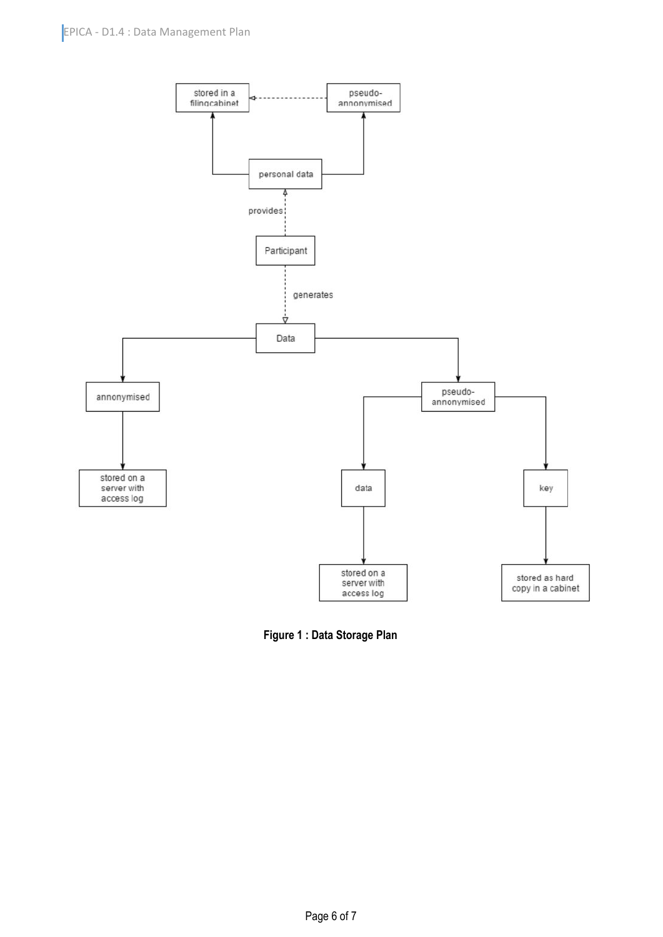

**Figure 1 : Data Storage Plan**